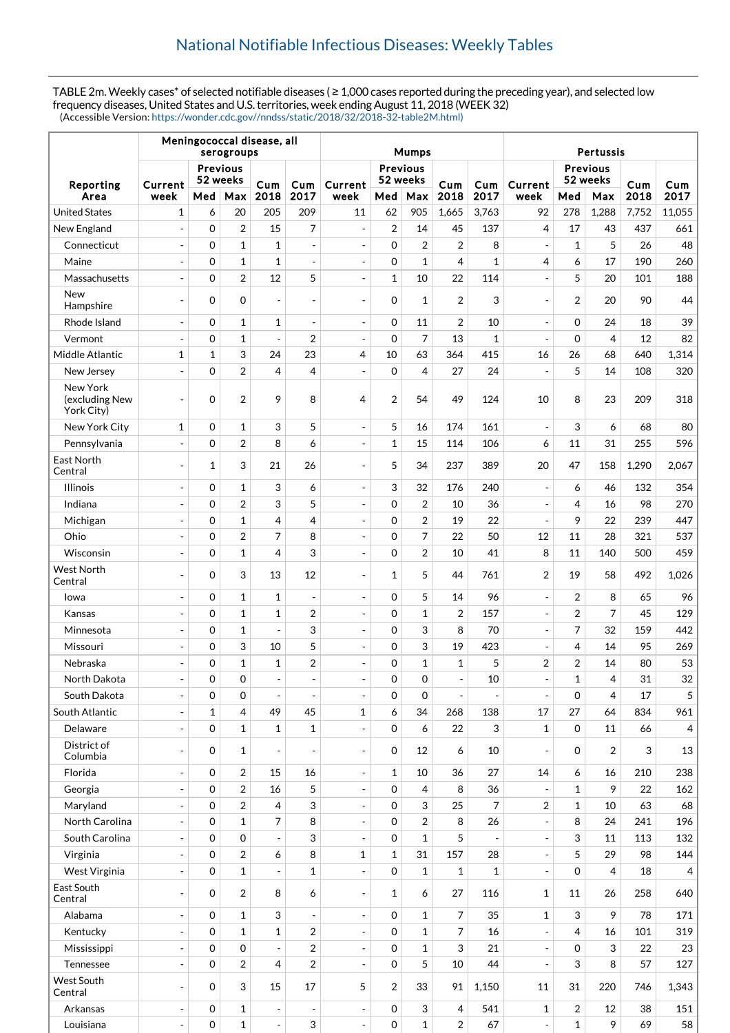TABLE 2m. Weekly cases\* of selected notifiable diseases ( ≥ 1,000 cases reported during the preceding year), and selected low frequency diseases, United States and U.S. territories, week ending August 11, 2018 (WEEK 32) (Accessible Version: [https://wonder.cdc.gov//nndss/static/2018/32/2018-32-table2M.html\)](https://wonder.cdc.gov//nndss/static/2018/32/2018-32-table2M.html)

|                                          |                                        | Meningococcal disease, all<br>serogroups |                         |                          | <b>Mumps</b>                           |                              |                | Pertussis      |                          |                                        |                          |                |                |       |                |
|------------------------------------------|----------------------------------------|------------------------------------------|-------------------------|--------------------------|----------------------------------------|------------------------------|----------------|----------------|--------------------------|----------------------------------------|--------------------------|----------------|----------------|-------|----------------|
| Reporting                                | <b>Previous</b><br>52 weeks<br>Current |                                          | Cum                     | Cum                      | <b>Previous</b><br>52 weeks<br>Current |                              |                | Cum<br>Cum     |                          | <b>Previous</b><br>52 weeks<br>Current |                          | Cum<br>Cum     |                |       |                |
| Area                                     | week                                   | Med                                      | Max                     | 2018                     | 2017                                   | week                         | Med            | Max            | 2018                     | 2017                                   | week                     | Med            | Max            | 2018  | 2017           |
| <b>United States</b>                     | 1                                      | 6                                        | 20                      | 205                      | 209                                    | 11                           | 62             | 905            | 1.665                    | 3,763                                  | 92                       | 278            | 1,288          | 7,752 | 11,055         |
| New England                              |                                        | $\Omega$                                 | $\overline{2}$          | 15                       | 7                                      | $\overline{\phantom{a}}$     | $\overline{2}$ | 14             | 45                       | 137                                    | 4                        | 17             | 43             | 437   | 661            |
| Connecticut                              | $\overline{\phantom{a}}$               | $\mathbf 0$                              | $\mathbf{1}$            | $\mathbf{1}$             | $\overline{\phantom{a}}$               | $\overline{\phantom{a}}$     | $\Omega$       | $\overline{2}$ | $\overline{2}$           | 8                                      | $\blacksquare$           | $\mathbf{1}$   | 5              | 26    | 48             |
| Maine                                    | $\overline{\phantom{a}}$               | $\mathbf 0$                              | $\mathbf 1$             | 1                        | $\overline{a}$                         | $\blacksquare$               | $\mathbf 0$    | $\mathbf{1}$   | $\overline{4}$           | 1                                      | 4                        | 6              | 17             | 190   | 260            |
| Massachusetts                            | $\overline{\phantom{a}}$               | $\mathbf 0$                              | $\overline{2}$          | 12                       | 5                                      | $\overline{\phantom{a}}$     | 1              | 10             | 22                       | 114                                    | $\overline{a}$           | 5              | 20             | 101   | 188            |
| New<br>Hampshire                         | $\overline{\phantom{a}}$               | $\mathbf 0$                              | $\mathbf 0$             | $\blacksquare$           | $\overline{\phantom{a}}$               | $\blacksquare$               | $\Omega$       | 1              | $\overline{2}$           | 3                                      | $\overline{a}$           | $\overline{2}$ | 20             | 90    | 44             |
| Rhode Island                             | $\blacksquare$                         | $\mathbf 0$                              | $\mathbf{1}$            | 1                        | $\blacksquare$                         | $\overline{\phantom{a}}$     | $\mathbf 0$    | 11             | $\overline{2}$           | 10                                     | $\blacksquare$           | $\mathbf 0$    | 24             | 18    | 39             |
| Vermont                                  | $\blacksquare$                         | $\mathbf 0$                              | $\mathbf{1}$            | $\overline{a}$           | $\overline{2}$                         | $\overline{\phantom{a}}$     | $\mathbf 0$    | 7              | 13                       | $\mathbf{1}$                           | $\overline{a}$           | $\mathbf 0$    | 4              | 12    | 82             |
| Middle Atlantic                          | 1                                      | $\mathbf{1}$                             | 3                       | 24                       | 23                                     | 4                            | 10             | 63             | 364                      | 415                                    | 16                       | 26             | 68             | 640   | 1,314          |
| New Jersey                               | $\blacksquare$                         | $\mathbf 0$                              | $\overline{2}$          | 4                        | 4                                      | $\overline{\phantom{a}}$     | $\mathbf 0$    | 4              | 27                       | 24                                     | $\overline{a}$           | 5              | 14             | 108   | 320            |
| New York<br>(excluding New<br>York City) |                                        | $\mathbf 0$                              | $\overline{2}$          | 9                        | 8                                      | 4                            | $\overline{2}$ | 54             | 49                       | 124                                    | 10                       | 8              | 23             | 209   | 318            |
| New York City                            | 1                                      | $\mathbf 0$                              | $\mathbf{1}$            | 3                        | 5                                      | $\overline{\phantom{a}}$     | 5              | 16             | 174                      | 161                                    | $\overline{\phantom{a}}$ | 3              | 6              | 68    | 80             |
| Pennsylvania                             | $\overline{a}$                         | $\mathbf 0$                              | $\overline{2}$          | 8                        | 6                                      | $\overline{\phantom{a}}$     | 1              | 15             | 114                      | 106                                    | 6                        | 11             | 31             | 255   | 596            |
| East North<br>Central                    |                                        | 1                                        | 3                       | 21                       | 26                                     | $\blacksquare$               | 5              | 34             | 237                      | 389                                    | 20                       | 47             | 158            | 1,290 | 2,067          |
| Illinois                                 | $\overline{\phantom{a}}$               | $\mathbf 0$                              | $\mathbf{1}$            | 3                        | 6                                      | $\blacksquare$               | 3              | 32             | 176                      | 240                                    | $\blacksquare$           | 6              | 46             | 132   | 354            |
| Indiana                                  | $\blacksquare$                         | $\mathbf 0$                              | $\overline{2}$          | 3                        | 5                                      | $\overline{\phantom{a}}$     | $\mathbf 0$    | 2              | 10                       | 36                                     | $\overline{a}$           | $\overline{4}$ | 16             | 98    | 270            |
| Michigan                                 |                                        | $\mathbf 0$                              | $\mathbf{1}$            | 4                        | 4                                      | $\overline{\phantom{a}}$     | $\mathbf 0$    | 2              | 19                       | 22                                     | $\overline{a}$           | 9              | 22             | 239   | 447            |
| Ohio                                     | $\blacksquare$                         | $\mathbf 0$                              | 2                       | 7                        | 8                                      | $\overline{\phantom{a}}$     | $\mathbf 0$    | 7              | 22                       | 50                                     | 12                       | 11             | 28             | 321   | 537            |
| Wisconsin                                |                                        | $\mathbf 0$                              | $\mathbf{1}$            | 4                        | 3                                      | $\overline{a}$               | $\mathbf 0$    | 2              | 10                       | 41                                     | 8                        | 11             | 140            | 500   | 459            |
| <b>West North</b><br>Central             |                                        | $\mathbf 0$                              | 3                       | 13                       | 12                                     | $\blacksquare$               | 1              | 5              | 44                       | 761                                    | $\overline{2}$           | 19             | 58             | 492   | 1,026          |
| lowa                                     |                                        | $\mathbf 0$                              | $\mathbf{1}$            | 1                        | $\overline{\phantom{0}}$               | $\overline{\phantom{a}}$     | $\mathbf 0$    | 5              | 14                       | 96                                     | $\overline{a}$           | $\overline{2}$ | 8              | 65    | 96             |
| Kansas                                   | $\blacksquare$                         | $\mathbf 0$                              | $\mathbf{1}$            | $\mathbf 1$              | 2                                      | $\overline{\phantom{a}}$     | $\mathbf 0$    | $\mathbf 1$    | $\overline{2}$           | 157                                    | $\overline{\phantom{a}}$ | $\overline{2}$ | 7              | 45    | 129            |
| Minnesota                                | $\blacksquare$                         | 0                                        | 1                       | $\overline{a}$           | 3                                      | $\overline{\phantom{a}}$     | $\mathbf 0$    | 3              | 8                        | 70                                     | $\blacksquare$           | $\overline{7}$ | 32             | 159   | 442            |
| Missouri                                 |                                        | $\mathbf 0$                              | 3                       | 10                       | 5                                      | $\overline{\phantom{a}}$     | $\mathbf 0$    | 3              | 19                       | 423                                    | $\blacksquare$           | $\overline{4}$ | 14             | 95    | 269            |
| Nebraska                                 |                                        | $\mathbf 0$                              | $\mathbf 1$             | 1                        | $\boldsymbol{2}$                       | $\overline{\phantom{a}}$     | $\mathbf 0$    | $\mathbf{1}$   | 1                        | 5                                      | 2                        | $\overline{c}$ | 14             | 80    | 53             |
| North Dakota                             | $\overline{a}$                         | $\Omega$                                 | $\overline{0}$          | $\overline{a}$           | $\overline{a}$                         | $\overline{a}$               | $\mathbf 0$    | $\overline{0}$ | $\overline{\phantom{a}}$ | 10                                     | ÷,                       | $\mathbf{1}$   | $\overline{4}$ | 31    | 32             |
| South Dakota                             | $\blacksquare$                         | $\mathbf 0$                              | $\mathbf 0$             | $\blacksquare$           | $\overline{\phantom{a}}$               | $\overline{\phantom{a}}$     | $\mathbf 0$    | $\mathbf 0$    | $\overline{\phantom{a}}$ | $\sim$                                 | $\overline{\phantom{a}}$ | $\mathbf 0$    | 4              | 17    | 5              |
| South Atlantic                           | $\overline{\phantom{a}}$               | 1                                        | 4                       | 49                       | 45                                     | 1                            | 6              | 34             | 268                      | 138                                    | 17                       | 27             | 64             | 834   | 961            |
| Delaware                                 | $\overline{\phantom{a}}$               | $\mathbf 0$                              | $\mathbf{1}$            | $\mathbf{1}$             | $\mathbf{1}$                           | $\overline{a}$               | $\mathbf 0$    | 6              | 22                       | 3                                      | 1                        | 0              | 11             | 66    | $\overline{4}$ |
| District of<br>Columbia                  | $\overline{\phantom{a}}$               | $\mathbf 0$                              | 1                       | $\blacksquare$           | $\overline{\phantom{a}}$               | $\overline{\phantom{a}}$     | $\mathbf 0$    | 12             | 6                        | 10                                     | $\overline{a}$           | $\mathbf 0$    | $\overline{2}$ | 3     | 13             |
| Florida                                  | $\overline{\phantom{a}}$               | $\mathbf 0$                              | $\overline{2}$          | 15                       | 16                                     | $\overline{\phantom{a}}$     | $\mathbf{1}$   | 10             | 36                       | 27                                     | 14                       | 6              | 16             | 210   | 238            |
| Georgia                                  | $\overline{\phantom{a}}$               | $\mathbf 0$                              | $\overline{\mathbf{c}}$ | 16                       | 5                                      | $\frac{1}{2}$                | $\mathbf 0$    | 4              | 8                        | 36                                     | $\blacksquare$           | $\mathbf{1}$   | 9              | 22    | 162            |
| Maryland                                 | $\overline{\phantom{a}}$               | $\mathbf 0$                              | $\overline{2}$          | 4                        | 3                                      | $\overline{\phantom{a}}$     | $\mathbf 0$    | 3              | 25                       | 7                                      | 2                        | $\mathbf{1}$   | 10             | 63    | 68             |
| North Carolina                           |                                        | $\mathbf 0$                              | $\mathbf{1}$            | 7                        | 8                                      | $\overline{\phantom{a}}$     | $\mathbf 0$    | $\overline{2}$ | 8                        | 26                                     | $\blacksquare$           | 8              | 24             | 241   | 196            |
| South Carolina                           | $\overline{\phantom{a}}$               | $\mathbf 0$                              | $\mathbf 0$             | $\overline{\phantom{a}}$ | 3                                      | $\frac{1}{2}$                | $\mathbf 0$    | $\mathbf{1}$   | 5                        |                                        | $\overline{\phantom{a}}$ | 3              | 11             | 113   | 132            |
| Virginia                                 | $\blacksquare$                         | $\mathbf 0$                              | $\overline{c}$          | 6                        | 8                                      | $\mathbf 1$                  | $\mathbf{1}$   | 31             | 157                      | 28                                     | $\overline{a}$           | 5              | 29             | 98    | 144            |
| West Virginia                            | $\blacksquare$                         | $\mathbf 0$                              | $\mathbf{1}$            | $\overline{\phantom{a}}$ | $\mathbf{1}$                           | $\frac{1}{2}$                | $\Omega$       | $\mathbf{1}$   | $\mathbf{1}$             | $\mathbf{1}$                           | $\Box$                   | $\Omega$       | 4              | 18    | $\overline{4}$ |
| East South<br>Central                    | $\overline{\phantom{a}}$               | $\mathbf 0$                              | 2                       | 8                        | 6                                      | $\qquad \qquad \blacksquare$ | 1              | 6              | 27                       | 116                                    | 1                        | 11             | 26             | 258   | 640            |
| Alabama                                  | $\qquad \qquad \blacksquare$           | $\mathbf 0$                              | $\mathbf 1$             | 3                        | $\overline{\phantom{a}}$               | $\frac{1}{2}$                | $\mathbf 0$    | $\mathbf{1}$   | 7                        | 35                                     | $\mathbf{1}$             | 3              | 9              | 78    | 171            |
| Kentucky                                 | $\overline{\phantom{a}}$               | $\mathbf 0$                              | 1                       | 1                        | 2                                      | $\overline{\phantom{a}}$     | $\mathbf 0$    | 1              | 7                        | 16                                     | $\blacksquare$           | $\overline{4}$ | 16             | 101   | 319            |
| Mississippi                              | $\overline{\phantom{a}}$               | $\mathbf 0$                              | $\mathbf 0$             | $\overline{\phantom{a}}$ | $\overline{2}$                         | $\frac{1}{2}$                | $\mathbf 0$    | $\mathbf{1}$   | 3                        | 21                                     | $\overline{\phantom{a}}$ | $\mathbf 0$    | 3              | 22    | 23             |
| Tennessee                                | $\overline{a}$                         | $\mathbf 0$                              | $\overline{2}$          | 4                        | $\overline{2}$                         | $\overline{a}$               | $\mathbf 0$    | 5              | 10                       | 44                                     | $\overline{a}$           | 3              | 8              | 57    | 127            |
| West South<br>Central                    |                                        | $\mathbf 0$                              | 3                       | 15                       | 17                                     | 5                            | 2              | 33             | 91                       | 1,150                                  | 11                       | 31             | 220            | 746   | 1,343          |
| Arkansas                                 | $\overline{a}$                         | $\mathbf 0$                              | $\mathbf 1$             | $\blacksquare$           | $\overline{\phantom{a}}$               | $\overline{a}$               | $\mathbf 0$    | 3              | $\overline{4}$           | 541                                    | 1                        | $\overline{2}$ | 12             | 38    | 151            |
| Louisiana                                |                                        | $\mathbf 0$                              | $\mathbf 1$             | $\blacksquare$           | 3                                      | $\blacksquare$               | 0              | $\mathbf{1}$   | $\overline{2}$           | 67                                     | $\overline{\phantom{a}}$ | $\mathbf{1}$   | 9              | 69    | 58             |